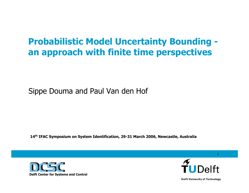### **Probabilistic Model Uncertainty Bounding an approach with finite time perspectives**

#### Sippe Douma and Paul Van den Hof

**14th IFAC Sympo sium on System Identification, 29-31 March 2006, Newcastle, Australia**





1

**Delft University of Technology**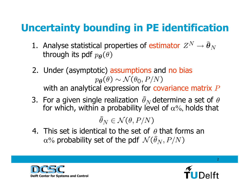# **Uncertainty bounding in PE identification**

- 1. Analyse statistical properties of estimator through its pdf  $p_{\theta}(\theta)$
- 2. Under (asymptotic) assumptions and no bias  $p_{\boldsymbol{\theta}}(\theta) \sim \mathcal{N}(\theta_0, P/N)$ with an analytical expression for covariance matrix  $P$
- 3. For a given single realization  $\widehat{\theta}_N$  determine a set of  $\theta$ for which, within a probability level of  $\alpha\%,$  holds that

 $\widehat{\theta}_N \in \mathcal{N}(\theta, P/N)$ 

4. This set is identical to the set of  $\,\theta$  that forms an  $\alpha\%$  probability set of the pdf



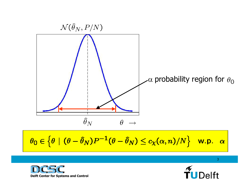

$$
\theta_0 \in \left\{ \theta \mid (\theta - \widehat{\theta}_N)P^{-1}(\theta - \widehat{\theta}_N) \leq c_{\chi}(\alpha, n)/N \right\} \quad \text{w.p.} \quad \alpha
$$



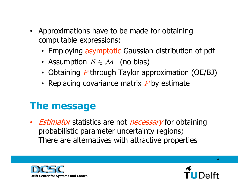- Approximations have to be made for obtaining computable expressions:
	- Employing asymptotic Gaussian distribution of pdf
	- Assumption  $\mathcal{S} \in \mathcal{M}$  (no bias)
	- Obtaining  $P$  through Taylor approximation (OE/BJ)
	- Replacing covariance matrix  $P$  by estimate

## **The message**

• *Estimator* statistics are not *necessary* for obtaining probabilistic parameter uncertainty regions; There are alternatives with attractive properties



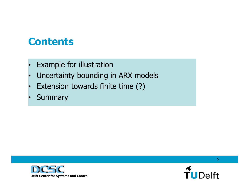### **Contents**

- •Example for illustration
- •Uncertainty bounding in ARX models
- •Extension towards finite time (?)
- •Summary



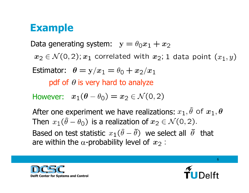### **Example**

Data generating system:  $y = \theta_0 x_1 + x_2$  $x_2 \in \mathcal{N}(0,2)$ ;  $x_1$  correlated with  $x_2$ ; 1 data point  $(x_1, y)$ Estimator:  $\theta = y/x_1 = \theta_0 + x_2/x_1$ pdf of  $\theta$  is very hard to analyze However:  $x_1(\theta - \theta_0) = x_2 \in \mathcal{N}(0, 2)$ After one experiment we have realizations:  $x_1$ ,  $\hat{\theta}$  of  $x_1$ ,  $\theta$ Then  $x_1(\hat{\theta} - \theta_0)$  is a realization of  $x_2 \in \mathcal{N}(0, 2)$ . Based on test statistic  $x_1(\hat{\theta} - \tilde{\theta})$  we select all  $\tilde{\theta}$  that are within the  $\alpha$ -probability level of  $x_2$ :



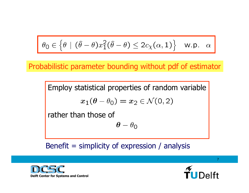$$
\theta_0 \in \left\{\theta \mid (\hat{\theta} - \theta)x_1^2(\hat{\theta} - \theta) \le 2c_{\chi}(\alpha, 1)\right\} \quad \text{w.p.} \quad \alpha
$$

Probabilistic parameter bounding without pdf of estimator

Employ statistical properties of random variable

$$
x_1(\theta - \theta_0) = x_2 \in \mathcal{N}(0,2)
$$

rather than those of

$$
\boldsymbol{\theta} - \theta_0
$$

#### Benefit  $=$  simplicity of expression / analysis



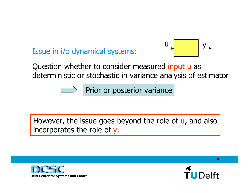### Issue in i/o dynamical systems:



Question whether to consider measured input u as deterministic or stochastic in variance analysis of estimator

Prior or posterior variance

### However, the issue goes beyond the role of u, and also incorporates the role of y.



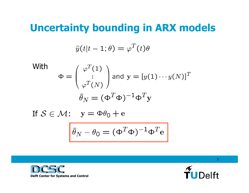## **Uncertainty bounding in ARX models**

$$
\widehat{y}(t|t-1;\theta) = \varphi^T(t)\theta
$$

With  
\n
$$
\Phi = \begin{pmatrix} \varphi^T(1) \\ \vdots \\ \varphi^T(N) \end{pmatrix} \text{ and } \mathbf{y} = [y(1) \cdots y(N)]^T
$$
\n
$$
\widehat{\theta}_N = (\Phi^T \Phi)^{-1} \Phi^T \mathbf{y}
$$

If  $\mathcal{S}\in\mathcal{M}$  :

$$
\hat{\theta}_N - \theta_0 = (\Phi^T \Phi)^{-1} \Phi^T e
$$



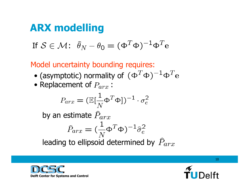# **ARX modelling**

$$
\text{If } \mathcal{S} \in \mathcal{M} \colon \widehat{\theta}_N - \theta_0 = (\Phi^T \Phi)^{-1} \Phi^T \mathbf{e}
$$

Model uncertainty bounding requires:

- (asymptotic) normality of
- Replacement of  $P_{arx}$  :

$$
P_{arx} = (\mathbb{E}[\frac{1}{N} \Phi^T \Phi])^{-1} \cdot \sigma_e^2
$$

by an estimate  $\widehat{P}_{arr}$ 

$$
\widehat{P}_{arr} = (\frac{1}{N} \Phi^T \Phi)^{-1} \widehat{\sigma}_e^2
$$

leading to ellipsoid determined by  $P_{arr}$ 



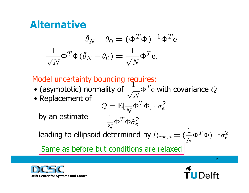### **Alternative**

$$
\hat{\theta}_N - \theta_0 = (\Phi^T \Phi)^{-1} \Phi^T e
$$

$$
\frac{1}{\sqrt{N}} \Phi^T \Phi (\hat{\theta}_N - \theta_0) = \frac{1}{\sqrt{N}} \Phi^T e.
$$

### Model uncertainty bounding requires:

- (asymptotic) normality of  $\frac{1}{\sqrt{2}} \Phi^T e$  with covariance  $Q$
- Replacement of

 $\frac{1}{N} \Phi^T \Phi \hat{\sigma}_e^2$ 

by an estimate

leading to ellipsoid determined by  $\hat{P}_{arx,n} = (\frac{1}{N} \Phi^T \Phi)^{-1} \hat{\sigma}_e^2$ 

Same as before but conditions are relaxed



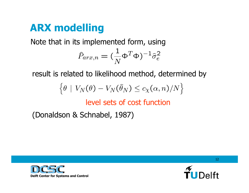# **ARX modelling**

Note that in its implemented form, using

$$
\widehat{P}_{arr,n} = (\frac{1}{N}\mathsf{\Phi}^T\mathsf{\Phi})^{-1}\widehat{\sigma}_e^2
$$

result is related to likelihood method, determined by

$$
\left\{\theta\,\mid\,V_N(\theta)-V_N(\widehat\theta_N)\le c_\chi(\alpha,n)/N\right\}
$$

### level sets of cost function

(Donaldson & Schnabel, 1987)



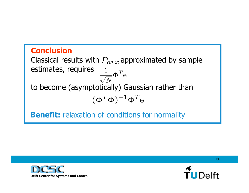### **Conclusion**

Classical results with  $P_{arr}$  approximated by sample estimates, requires  $\frac{1}{\sqrt{N}}\mathbf{\Phi}^T\mathbf{e}$ to become (asymptotically) Gaussian rather than  $(\Phi^T \Phi)^{-1} \Phi^T \mathbf{e}$ 

**Benefit:** relaxation of conditions for normality



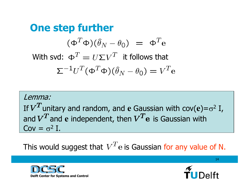**One step further**  $(\Phi^T \Phi)(\hat{\theta}_N - \theta_0) = \Phi^T \mathbf{e}$ With svd:  $\Phi^T = U \Sigma V^T$  it follows that  $\sum^{-1} U^T (\Phi^T \Phi) (\hat{\theta}_N - \theta_0) = V^T \mathbf{e}$ 

Lemma:If  $V^\text{\texttt{I}}$  unitary and random, and  ${\bf e}$  Gaussian with  ${\rm cov}({\bf e}){=}\sigma$ 2 I, and  $V^I$  and e independent, then  $V^I$  e is Gaussian with  $Cov = \sigma^2 I$ .

This would suggest that  $V^T$ e is Gaussian for any value of N.



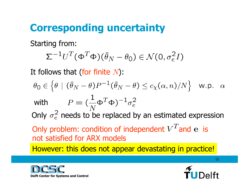# **Corresponding uncertainty**

Starting from:

$$
\Sigma^{-1}U^T(\Phi^T\Phi)(\widehat{\theta}_N-\theta_0)\in\mathcal{N}(0,\sigma_e^2I)
$$

It follows that (for finite  $N$ ):

$$
\theta_0 \in \left\{ \theta \mid (\widehat{\theta}_N - \theta)P^{-1}(\widehat{\theta}_N - \theta) \le c_\chi(\alpha, n)/N \right\} \quad \text{w.p.} \quad \alpha
$$

with 
$$
P = (\frac{1}{N} \Phi^T \Phi)^{-1} \sigma_e^2
$$

Only  $\sigma_e^2$  needs to be replaced by an estimated expression

Only problem: condition of independent  $V^T$  and e is not satisfied for ARX models

However: this does not appear devastating in practice!



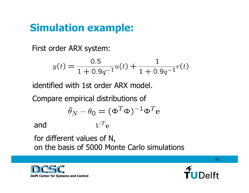# **Simulation example:**

First order ARX system:

$$
y(t) = \frac{0.5}{1 + 0.9q^{-1}}u(t) + \frac{1}{1 + 0.9q^{-1}}e(t)
$$

identified with 1st order ARX model.

Compare empirical distributions of

$$
\widehat{\theta}_N - \theta_0 = (\Phi^T \Phi)^{-1} \Phi^T e
$$

 $V^T$ e and

for different values of N,

on the basis of 5000 Monte Carlo simulations



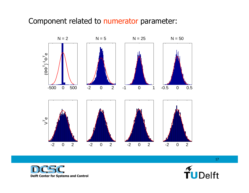#### Component related to numerator parameter:





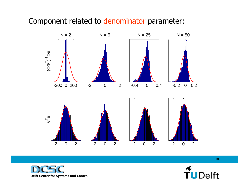#### Component related to denominator parameter: